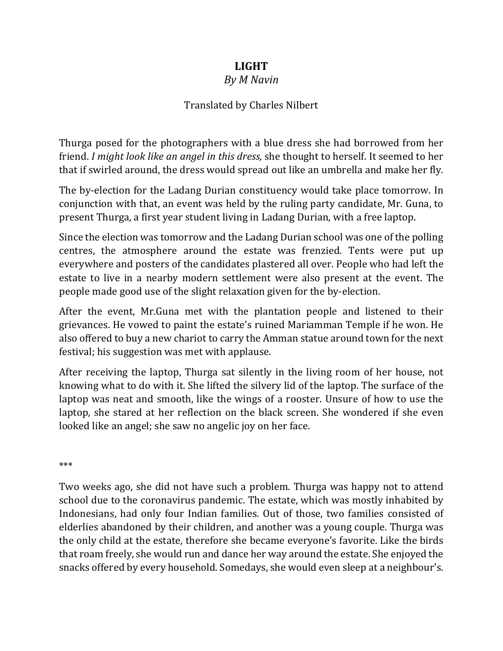## **LIGHT**

## *By M Navin*

## Translated by Charles Nilbert

Thurga posed for the photographers with a blue dress she had borrowed from her friend. *I might look like an angel in this dress,* she thought to herself. It seemed to her that if swirled around, the dress would spread out like an umbrella and make her fly.

The by-election for the Ladang Durian constituency would take place tomorrow. In conjunction with that, an event was held by the ruling party candidate, Mr. Guna, to present Thurga, a first year student living in Ladang Durian, with a free laptop.

Since the election was tomorrow and the Ladang Durian school was one of the polling centres, the atmosphere around the estate was frenzied. Tents were put up everywhere and posters of the candidates plastered all over. People who had left the estate to live in a nearby modern settlement were also present at the event. The people made good use of the slight relaxation given for the by-election.

After the event, Mr.Guna met with the plantation people and listened to their grievances. He vowed to paint the estate's ruined Mariamman Temple if he won. He also offered to buy a new chariot to carry the Amman statue around town for the next festival; his suggestion was met with applause.

After receiving the laptop, Thurga sat silently in the living room of her house, not knowing what to do with it. She lifted the silvery lid of the laptop. The surface of the laptop was neat and smooth, like the wings of a rooster. Unsure of how to use the laptop, she stared at her reflection on the black screen. She wondered if she even looked like an angel; she saw no angelic joy on her face.

\*\*\*

Two weeks ago, she did not have such a problem. Thurga was happy not to attend school due to the coronavirus pandemic. The estate, which was mostly inhabited by Indonesians, had only four Indian families. Out of those, two families consisted of elderlies abandoned by their children, and another was a young couple. Thurga was the only child at the estate, therefore she became everyone's favorite. Like the birds that roam freely, she would run and dance her way around the estate. She enjoyed the snacks offered by every household. Somedays, she would even sleep at a neighbour's.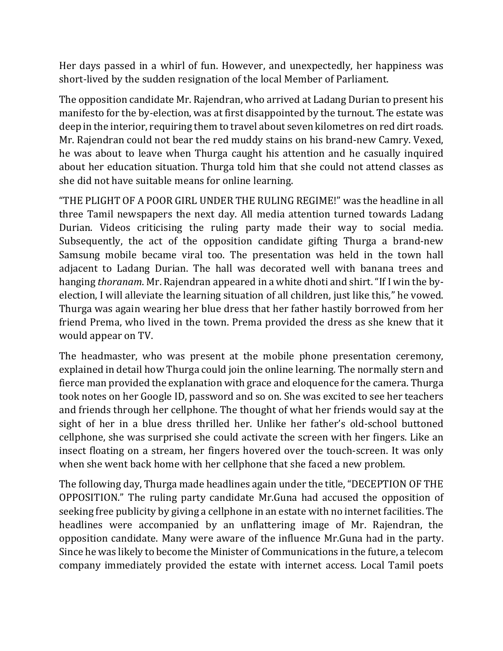Her days passed in a whirl of fun. However, and unexpectedly, her happiness was short-lived by the sudden resignation of the local Member of Parliament.

The opposition candidate Mr. Rajendran, who arrived at Ladang Durian to present his manifesto for the by-election, was at first disappointed by the turnout. The estate was deep in the interior, requiring them to travel about seven kilometres on red dirt roads. Mr. Rajendran could not bear the red muddy stains on his brand-new Camry. Vexed, he was about to leave when Thurga caught his attention and he casually inquired about her education situation. Thurga told him that she could not attend classes as she did not have suitable means for online learning.

"THE PLIGHT OF A POOR GIRL UNDER THE RULING REGIME!" was the headline in all three Tamil newspapers the next day. All media attention turned towards Ladang Durian. Videos criticising the ruling party made their way to social media. Subsequently, the act of the opposition candidate gifting Thurga a brand-new Samsung mobile became viral too. The presentation was held in the town hall adjacent to Ladang Durian. The hall was decorated well with banana trees and hanging *thoranam*. Mr. Rajendran appeared in a white dhoti and shirt."If I win the byelection, I will alleviate the learning situation of all children, just like this," he vowed. Thurga was again wearing her blue dress that her father hastily borrowed from her friend Prema, who lived in the town. Prema provided the dress as she knew that it would appear on TV.

The headmaster, who was present at the mobile phone presentation ceremony, explained in detail how Thurga could join the online learning. The normally stern and fierce man provided the explanation with grace and eloquence for the camera. Thurga took notes on her Google ID, password and so on. She was excited to see her teachers and friends through her cellphone. The thought of what her friends would say at the sight of her in a blue dress thrilled her. Unlike her father's old-school buttoned cellphone, she was surprised she could activate the screen with her fingers. Like an insect floating on a stream, her fingers hovered over the touch-screen. It was only when she went back home with her cellphone that she faced a new problem.

The following day, Thurga made headlines again under the title, "DECEPTION OF THE OPPOSITION." The ruling party candidate Mr.Guna had accused the opposition of seeking free publicity by giving a cellphone in an estate with no internet facilities. The headlines were accompanied by an unflattering image of Mr. Rajendran, the opposition candidate. Many were aware of the influence Mr.Guna had in the party. Since he was likely to become the Minister of Communications in the future, a telecom company immediately provided the estate with internet access. Local Tamil poets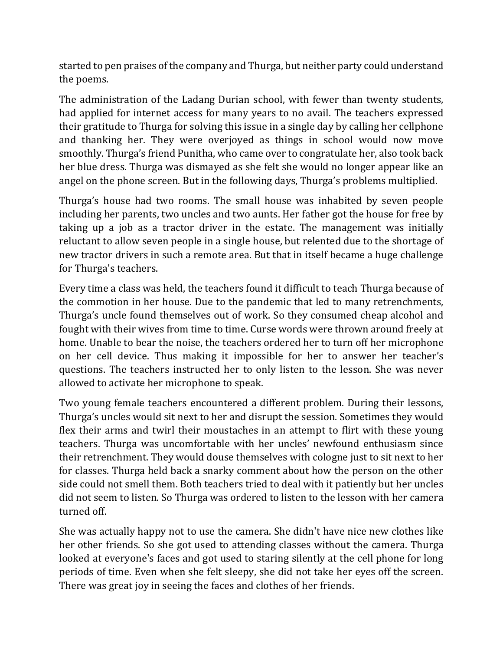started to pen praises of the company and Thurga, but neither party could understand the poems.

The administration of the Ladang Durian school, with fewer than twenty students, had applied for internet access for many years to no avail. The teachers expressed their gratitude to Thurga for solving this issue in a single day by calling her cellphone and thanking her. They were overjoyed as things in school would now move smoothly. Thurga's friend Punitha, who came over to congratulate her, also took back her blue dress. Thurga was dismayed as she felt she would no longer appear like an angel on the phone screen. But in the following days, Thurga's problems multiplied.

Thurga's house had two rooms. The small house was inhabited by seven people including her parents, two uncles and two aunts. Her father got the house for free by taking up a job as a tractor driver in the estate. The management was initially reluctant to allow seven people in a single house, but relented due to the shortage of new tractor drivers in such a remote area. But that in itself became a huge challenge for Thurga's teachers.

Every time a class was held, the teachers found it difficult to teach Thurga because of the commotion in her house. Due to the pandemic that led to many retrenchments, Thurga's uncle found themselves out of work. So they consumed cheap alcohol and fought with their wives from time to time. Curse words were thrown around freely at home. Unable to bear the noise, the teachers ordered her to turn off her microphone on her cell device. Thus making it impossible for her to answer her teacher's questions. The teachers instructed her to only listen to the lesson. She was never allowed to activate her microphone to speak.

Two young female teachers encountered a different problem. During their lessons, Thurga's uncles would sit next to her and disrupt the session. Sometimes they would flex their arms and twirl their moustaches in an attempt to flirt with these young teachers. Thurga was uncomfortable with her uncles' newfound enthusiasm since their retrenchment. They would douse themselves with cologne just to sit next to her for classes. Thurga held back a snarky comment about how the person on the other side could not smell them. Both teachers tried to deal with it patiently but her uncles did not seem to listen. So Thurga was ordered to listen to the lesson with her camera turned off.

She was actually happy not to use the camera. She didn't have nice new clothes like her other friends. So she got used to attending classes without the camera. Thurga looked at everyone's faces and got used to staring silently at the cell phone for long periods of time. Even when she felt sleepy, she did not take her eyes off the screen. There was great joy in seeing the faces and clothes of her friends.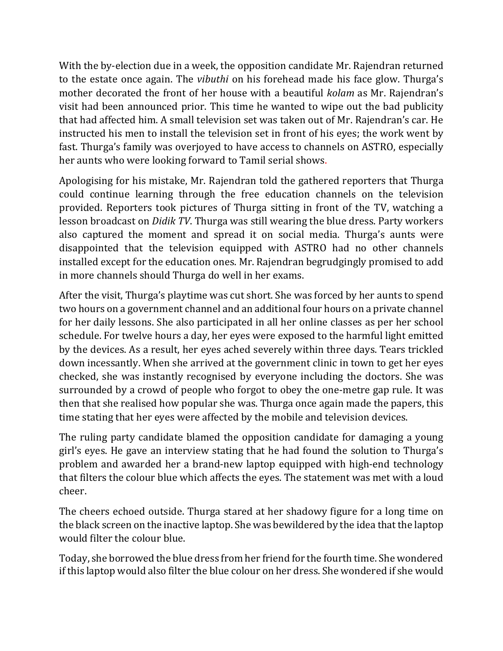With the by-election due in a week, the opposition candidate Mr. Rajendran returned to the estate once again. The *vibuthi* on his forehead made his face glow. Thurga's mother decorated the front of her house with a beautiful *kolam* as Mr. Rajendran's visit had been announced prior. This time he wanted to wipe out the bad publicity that had affected him. A small television set was taken out of Mr. Rajendran's car. He instructed his men to install the television set in front of his eyes; the work went by fast. Thurga's family was overjoyed to have access to channels on ASTRO, especially her aunts who were looking forward to Tamil serial shows.

Apologising for his mistake, Mr. Rajendran told the gathered reporters that Thurga could continue learning through the free education channels on the television provided. Reporters took pictures of Thurga sitting in front of the TV, watching a lesson broadcast on *Didik TV*. Thurga was still wearing the blue dress. Party workers also captured the moment and spread it on social media. Thurga's aunts were disappointed that the television equipped with ASTRO had no other channels installed except for the education ones. Mr. Rajendran begrudgingly promised to add in more channels should Thurga do well in her exams.

After the visit, Thurga's playtime was cut short. She was forced by her aunts to spend two hours on a government channel and an additional four hours on a private channel for her daily lessons. She also participated in all her online classes as per her school schedule. For twelve hours a day, her eyes were exposed to the harmful light emitted by the devices. As a result, her eyes ached severely within three days. Tears trickled down incessantly. When she arrived at the government clinic in town to get her eyes checked, she was instantly recognised by everyone including the doctors. She was surrounded by a crowd of people who forgot to obey the one-metre gap rule. It was then that she realised how popular she was. Thurga once again made the papers, this time stating that her eyes were affected by the mobile and television devices.

The ruling party candidate blamed the opposition candidate for damaging a young girl's eyes. He gave an interview stating that he had found the solution to Thurga's problem and awarded her a brand-new laptop equipped with high-end technology that filters the colour blue which affects the eyes. The statement was met with a loud cheer.

The cheers echoed outside. Thurga stared at her shadowy figure for a long time on the black screen on the inactive laptop. She was bewildered by the idea that the laptop would filter the colour blue.

Today, she borrowed the blue dress from her friend for the fourth time. She wondered if this laptop would also filter the blue colour on her dress. She wondered if she would